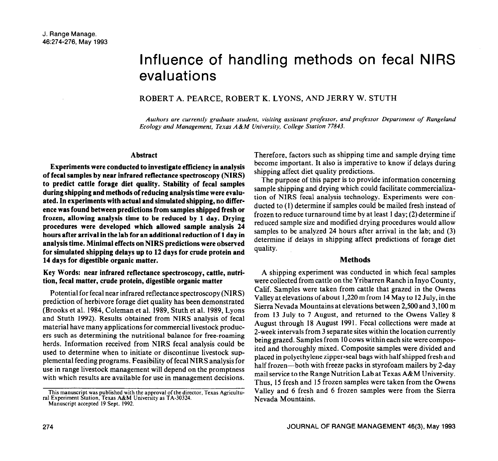# Influence of handling methods on fecal NIRS evaluations

# ROBERT A. PEARCE, ROBERT K. LYONS, AND JERRY W. STUTH

*Authors are currently graduate student, visiting assistant professor, and professor Department of Rangeland Ecology and Management. Texas A&M Universiiy, College Station 77843.* 

### **Abstract**

**Experiments were conducted to investigate efficiency in analysis of fecal samples by near infrared reflectance spectroscopy (NIRS) to predict cattle forage diet quality. Stability of fecal samples during shipping and methods of reducing analysis time were evaluated. In experiments with actual and simulated shipping, no difference was found between predictions from samples shipped fresh or frozen, allowing analysis time to be reduced by 1 day. Drying procedures were developed which allowed sample analysis 24 hours after arrival in the lab for an additional reduction of 1 day in analysis time. Minimal effects on NIRS predictions were observed for simulated shipping delays up to 12 days for crude protein and 14 days for digestible organic matter.** 

## **Key Words: near infrared reflectance spectroscopy, cattle, nutrition, fecal matter, crude protein, digestible organic matter**

Potential for fecal near infrared reflectance spectroscopy (NIRS) prediction of herbivore forage diet quality has been demonstrated (Brooks et al. 1984, Coleman et al. 1989, Stuth et al. 1989, Lyons and Stuth 1992). Results obtained from NIRS analysis of fecal material have many applications for commercial livestock producers such as determining the nutritional balance for free-roaming herds. Information received from NIRS fecal analysis could be used to determine when to initiate or discontinue livestock supplemental feeding programs. Feasibility of fecal NIRS analysis for use in range livestock management will depend on the promptness with which results are available for use in management decisions.

Therefore, factors such as shipping time and sample drying time become important. It also is imperative to know if delays during shipping affect diet quality predictions.

The purpose of this paper is to provide information concerning sample shipping and drying which could facilitate commercialization of NIRS fecal analysis technology. Experiments were conducted to (1) determine if samples could be mailed fresh instead of frozen to reduce turnaround time by at least 1 day; (2) determine if reduced sample size and modified drying procedures would allow samples to be analyzed 24 hours after arrival in the lab; and (3) determine if delays in shipping affect predictions of forage diet quality.

# **Methods**

A shipping experiment was conducted in which fecal samples were collected from cattle on the Yribarren Ranch in Inyo County, Calif. Samples were taken from cattle that grazed in the Owens Valley at elevations of about 1,220 m from 14 May to 12 July, in the Sierra Nevada Mountains at elevations between 2,500 and 3,100 m from 13 July to 7 August, and returned to the Owens Valley 8 August through 18 August 1991. Fecal collections were made at 2-week intervals from 3 separate sites within the location currently being grazed. Samples from 10 cows within each site were composited and thoroughly mixed. Composite samples were divided and placed in polyethylene zipper-seal bags with half shipped fresh and half frozen-both with freeze packs in styrofoam mailers by 2-day mail service to the Range Nutrition Lab at Texas A&M University. Thus, 15 fresh and 15 frozen samples were taken from the Owens Valley and 6 fresh and 6 frozen samples were from the Sierra Nevada Mountains.

This manuscript was published with the approval of the director, Texas Agricult<br>ral Experiment Station, Texas A&M University as TA-30324.<br>Manuscript accepted 19 Sept. 1992.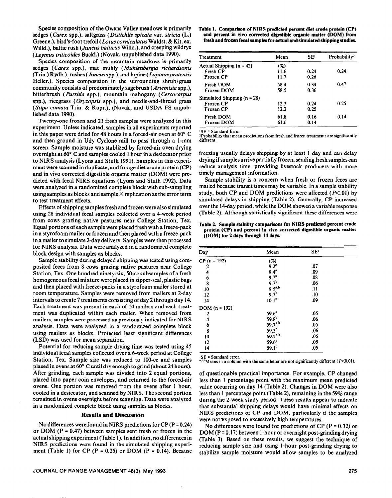Species composition of the Owens Valley meadows is primarily sedges (Curex spp.), saltgrass *(Distichlis spicufa* var. *stricta* (L.) Greene.), bird's\_foot trefoil (Lotus *corniculutus* Waldst. & Kit. ex. Willd.), baltic rush (*Juncus balticus* Willd.), and creeping wildrye (*Leymus triticoides Buckl.*) (Novak, unpublished data 1990).

Species composition of the mountain meadows is primarily sedges (Curex spp.), mat muhly *(Muhlenbergiu richardsonis*  (Trin.) Rydb.), rushes (Juncus spp.), and lupine *(Lupinusprutensis*  Heller.). Species composition in the surrounding shrub/grass community consists of predominately sagebrush *(Artemisiu* spp.), bitterbrush *(Purshiu* spp.), mountain mahogany *(Cercocurpus*  spp.), ricegrass *(Oryzopsis* spp.), and needle-and-thread grass (Stipa comata Trin. & Rupr.), (Novak, and USDA FS unpublished data 1990).

Twenty-one frozen and 21 fresh samples were analyzed in this experiment. Unless indicated, samples in all experiments reported in this paper were dried for 48 hours in a forced-air oven at 60° C and then ground in Udy Cyclone mill to pass through a l-mm screen. Sample moisture was stablized by forced-air oven drying overnight at 60" C and samples cooled 1 hour in a desiccator prior to NIRS analysis (Lyons and Stuth 1991). Samples in this experiment were scanned in duplicate, and forage diet crude protein (CP) and in vivo corrected digestible organic matter (DOM) were predicted with fecal NIRS equations (Lyons and Stuth 1992). Data were analyzed in a randomized complete block with sub-sampling using samples as blocks and sample  $\times$  replication as the error term to test treatment effects.

Effects of shipping samples fresh and frozen were also simulated using 28 individual fecal samples collected over a 4-week period from cows grazing native pastures near College Station, Tex. Equal portions of each sample were placed fresh with a freeze-pack in a styrofoam mailer or frozen and then placed with a freeze-pack in a mailer to simulate 2-day delivery. Samples were then processed for NIRS analysis. Data were analyzed in a randomized complete block design with samples as blocks.

Sample stability during delayed shipping was tested using composited feces from 8 cows grazing native pastures near College Station, Tex. One hundred ninety-six, 50-cc subsamples of a fresh homogeneous fecal mixture were placed in zipper-seal, plastic bags and then placed with freeze-packs in a styrofoam mailer stored at room temperature. Samples were removed from mailers at 2-day intervals to create 7 treatments consisting of day 2 through day 14. Each treatment was present in each of 14 mailers and each treatment was duplicated within each mailer. When removed from mailers, samples were processed as previously indicated for NIRS analysis. Data were analyzed in a randomized complete block using mailers as blocks. Protected least significant differences (LSD) was used for mean separation.

Potential for reducing sample drying time was tested using 45 individual fecal samples collected over a 6-week period at College Station, Tex. Sample size was reduced to IOO-cc and samples placed in ovens at 60' C until dry enough to grind (about 24 hours). After grinding, each sample was divided into 2 equal portions, placed into paper coin envelopes, and returned to the forced-air ovens. One portion was removed from the ovens after 1 hour, cooled in a desiccator, and scanned by NIRS. The second portion remained in ovens overnight before scanning. Data were analyzed in a randomized complete block using samples as blocks.

### **Results and Discussion**

No differences were found in NIRS predictions for  $CP (P = 0.24)$ or DOM ( $P = 0.47$ ) between samples sent fresh or frozen in the actual shipping experiment (Table I). In addition, no differences in NIRS predictions were found in the simulated shipping experi ment (Table 1) for CP ( $P = 0.25$ ) or DOM ( $P = 0.14$ ). Because

### **Table 1. Comparison of NIRS predicted percent diet crude protein (CP)**  and percent in vivo corrected digestible organic matter (DOM) from **fresh and frozen fecal samples for actual and simulated shipping studies.**

| Treatment                       | Mean | <b>SE!</b> | Probability <sup>2</sup> |
|---------------------------------|------|------------|--------------------------|
| Actual Shipping $(n = 42)$      | (%)  |            |                          |
| Fresh CP                        | 11.6 | 0.24       | 0.24                     |
| Frozen CP                       | 11.7 | 0.26       |                          |
| Fresh DOM                       | 58.4 | 0.34       | 0.47                     |
| Frozen DOM                      | 58.5 | 0.36       |                          |
| Simulated Shipping ( $n = 28$ ) |      |            |                          |
| Frozen CP                       | 12.3 | 0.24       | 0.25                     |
| Frozen CP                       | 12.2 | 0.25       |                          |
| Fresh DOM                       | 61.8 | 0.16       | 0.14                     |
| Frozen DOM                      | 61.6 | 0.14       |                          |

**SE = Standard Error** 

<sup>2</sup>Probability that mean predictions from fresh and frozen treatments are significantly different.

freezing usually delays shipping by at least 1 day and can delay drying if samples arrive partially frozen, sending fresh samples can reduce analysis time, providing livestock producers with more timely management information.

Sample stability is a concern when fresh or frozen feces are mailed because transit times may be variable. In a sample stability study, both CP and DOM predictions were affected  $(P<.01)$  by simulated delays in shipping (Table 2). Generally, CP increased over the 14-day period, while the DOM showed a variable response (Table 2). Although statistically significant these differences were

**Table 2. Sample stability comparisons for NIRS predicted percent crude protein (CP) and percent in vivo corrected digestible organic matter (DOM) for 2 days through 14 days.** 

| Day             | Mean                              | SE <sup>1</sup> |  |
|-----------------|-----------------------------------|-----------------|--|
| $CP (n = 192)$  | (%)                               |                 |  |
| 2               | $9.2^{a}$                         | .07             |  |
| 4               | $9.4^a$                           | .09             |  |
| 6               | 9.7 <sup>b</sup>                  | .08             |  |
| 8               |                                   | .06             |  |
| 10              |                                   | .11             |  |
| 12              | 9.7b<br>9.5a,b<br>9.7b            | .10             |  |
| 14              | 10.1 <sup>c</sup>                 | .09             |  |
| $DOM (n = 192)$ |                                   |                 |  |
| 2               | 59.6 <sup>a</sup>                 | .05             |  |
| 4               |                                   | .06             |  |
| 6               | $59.8^{b}$<br>59.7 <sup>a,b</sup> | .05             |  |
| 8               | $59.3^c$                          | .06             |  |
| 10              | $59.7^{a,b}$                      | .05             |  |
| 12              | $59.6^{\circ}$                    | .05             |  |
| 14              | 59.1 <sup>c</sup>                 | .05             |  |

<sup>1</sup>SE = Standard error.<br><sup>a,b,c</sup>Means in a columi  $\epsilon$ Means in a column with the same letter are not significantly different ( $P<0.01$ ).

of questionable practical importance. For example, CP changed less than 1 percentage point with the maximum mean predicted value occurring on day 14 (Table 2). Changes in DOM were also less than 1 percentage point (Table 2), remaining in the 59% range during the 2-week study period. These results appear to indicate that substantial shipping delays would have minimal effects on NIRS predictions of CP and DOM, particularly if the samples were not exposed to excessively high temperatures.

No differences were found for predictions of CP ( $P = 0.32$ ) or DOM (P = 0.17) between 1-hour or overnight post-grinding drying (Table 3). Based on these results, we suggest the technique of reducing sample size and using l-hour post-grinding drying to stabilize sample moisture would allow samples to be analyzed